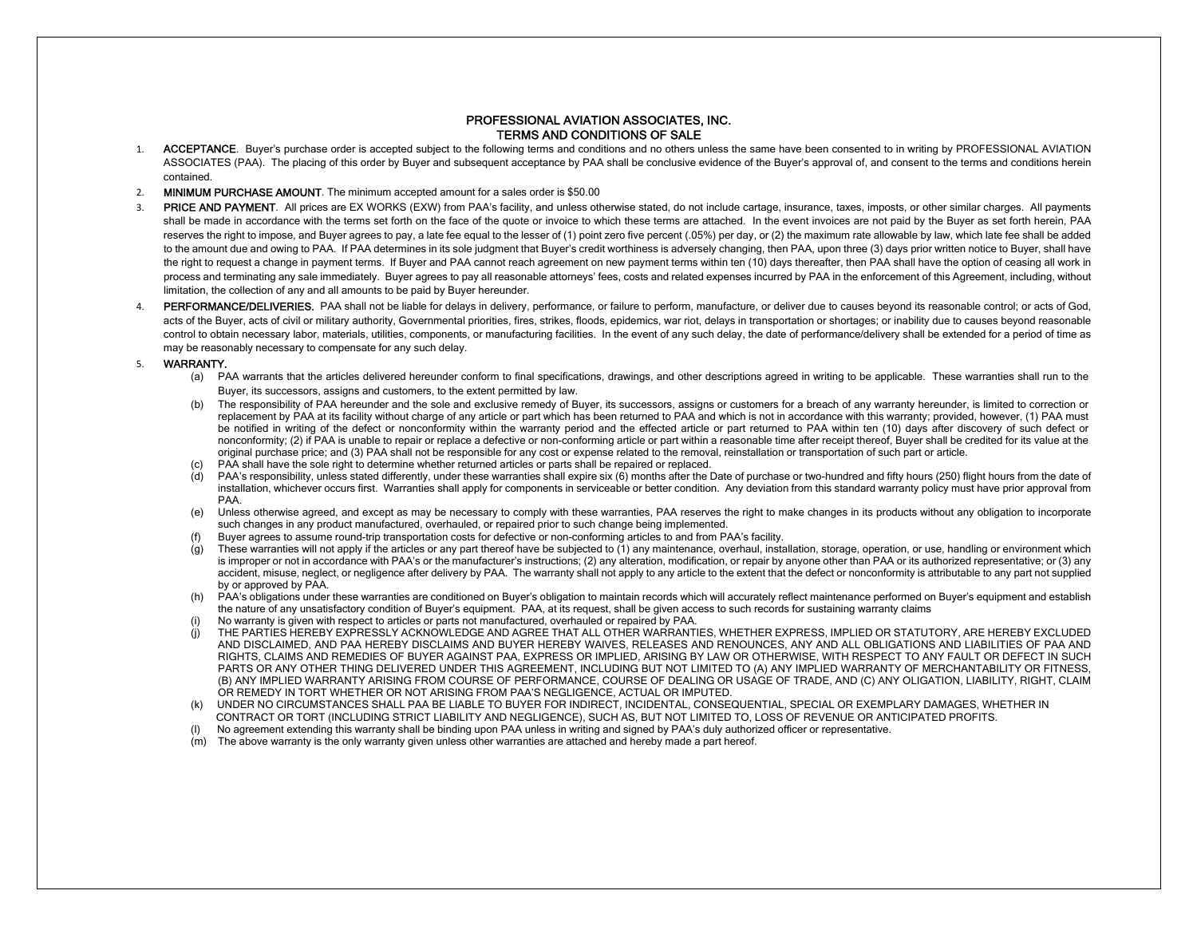## PROFESSIONAL AVIATION ASSOCIATES, INC. TERMS AND CONDITIONS OF SALE

- 1. ACCEPTANCE. Buyer's purchase order is accepted subject to the following terms and conditions and no others unless the same have been consented to in writing by PROFESSIONAL AVIATION ASSOCIATES (PAA). The placing of this order by Buyer and subsequent acceptance by PAA shall be conclusive evidence of the Buyer's approval of, and consent to the terms and conditions herein contained.
- 2. MINIMUM PURCHASE AMOUNT. The minimum accepted amount for a sales order is \$50.00
- 3. PRICE AND PAYMENT. All prices are EX WORKS (EXW) from PAA's facility, and unless otherwise stated, do not include cartage, insurance, taxes, imposts, or other similar charges. All payments shall be made in accordance with the terms set forth on the face of the quote or invoice to which these terms are attached. In the event invoices are not paid by the Buyer as set forth herein, PAA reserves the right to impose, and Buyer agrees to pay, a late fee equal to the lesser of (1) point zero five percent (.05%) per day, or (2) the maximum rate allowable by law, which late fee shall be added to the amount due and owing to PAA. If PAA determines in its sole judgment that Buyer's credit worthiness is adversely changing, then PAA, upon three (3) days prior written notice to Buyer, shall have the right to request a change in payment terms. If Buyer and PAA cannot reach agreement on new payment terms within ten (10) days thereafter, then PAA shall have the option of ceasing all work in process and terminating any sale immediately. Buyer agrees to pay all reasonable attorneys' fees, costs and related expenses incurred by PAA in the enforcement of this Agreement, including, without limitation, the collection of any and all amounts to be paid by Buyer hereunder.
- 4.PERFORMANCE/DELIVERIES. PAA shall not be liable for delays in delivery, performance, or failure to perform, manufacture, or deliver due to causes beyond its reasonable control; or acts of God, acts of the Buyer, acts of civil or military authority, Governmental priorities, fires, strikes, floods, epidemics, war riot, delays in transportation or shortages; or inability due to causes beyond reasonable control to obtain necessary labor, materials, utilities, components, or manufacturing facilities. In the event of any such delay, the date of performance/delivery shall be extended for a period of time as may be reasonably necessary to compensate for any such delay.

## 5. WARRANTY.

- (a) PAA warrants that the articles delivered hereunder conform to final specifications, drawings, and other descriptions agreed in writing to be applicable. These warranties shall run to the Buyer, its successors, assigns and customers, to the extent permitted by law.
- (b) The responsibility of PAA hereunder and the sole and exclusive remedy of Buyer, its successors, assigns or customers for a breach of any warranty hereunder, is limited to correction or replacement by PAA at its facility without charge of any article or part which has been returned to PAA and which is not in accordance with this warranty; provided, however, (1) PAA must be notified in writing of the defect or nonconformity within the warranty period and the effected article or part returned to PAA within ten (10) days after discovery of such defect or nonconformity; (2) if PAA is unable to repair or replace a defective or non-conforming article or part within a reasonable time after receipt thereof, Buyer shall be credited for its value at the original purchase price; and (3) PAA shall not be responsible for any cost or expense related to the removal, reinstallation or transportation of such part or article.
- PAA shall have the sole right to determine whether returned articles or parts shall be repaired or replaced.
- (d) PAA's responsibility, unless stated differently, under these warranties shall expire six (6) months after the Date of purchase or two-hundred and fifty hours (250) flight hours from the date of installation, whichever occurs first. Warranties shall apply for components in serviceable or better condition. Any deviation from this standard warranty policy must have prior approval from PAA.
- (e) Unless otherwise agreed, and except as may be necessary to comply with these warranties, PAA reserves the right to make changes in its products without any obligation to incorporate such changes in any product manufactured, overhauled, or repaired prior to such change being implemented.
- Buyer agrees to assume round-trip transportation costs for defective or non-conforming articles to and from PAA's facility.
- These warranties will not apply if the articles or any part thereof have be subjected to (1) any maintenance, overhaul, installation, storage, operation, or use, handling or environment which is improper or not in accordance with PAA's or the manufacturer's instructions; (2) any alteration, modification, or repair by anyone other than PAA or its authorized representative; or (3) any accident, misuse, neglect, or negligence after delivery by PAA. The warranty shall not apply to any article to the extent that the defect or nonconformity is attributable to any part not supplied by or approved by PAA.
- (h) PAA's obligations under these warranties are conditioned on Buyer's obligation to maintain records which will accurately reflect maintenance performed on Buyer's equipment and establish the nature of any unsatisfactory condition of Buyer's equipment. PAA, at its request, shall be given access to such records for sustaining warranty claims
- No warranty is given with respect to articles or parts not manufactured, overhauled or repaired by PAA.
- (j) THE PARTIES HEREBY EXPRESSLY ACKNOWLEDGE AND AGREE THAT ALL OTHER WARRANTIES, WHETHER EXPRESS, IMPLIED OR STATUTORY, ARE HEREBY EXCLUDED AND DISCLAIMED, AND PAA HEREBY DISCLAIMS AND BUYER HEREBY WAIVES, RELEASES AND RENOUNCES, ANY AND ALL OBLIGATIONS AND LIABILITIES OF PAA AND RIGHTS, CLAIMS AND REMEDIES OF BUYER AGAINST PAA, EXPRESS OR IMPLIED, ARISING BY LAW OR OTHERWISE, WITH RESPECT TO ANY FAULT OR DEFECT IN SUCH PARTS OR ANY OTHER THING DELIVERED UNDER THIS AGREEMENT, INCLUDING BUT NOT LIMITED TO (A) ANY IMPLIED WARRANTY OF MERCHANTABILITY OR FITNESS, (B) ANY IMPLIED WARRANTY ARISING FROM COURSE OF PERFORMANCE, COURSE OF DEALING OR USAGE OF TRADE, AND (C) ANY OLIGATION, LIABILITY, RIGHT, CLAIM OR REMEDY IN TORT WHETHER OR NOT ARISING FROM PAA'S NEGLIGENCE, ACTUAL OR IMPUTED.
- (k) UNDER NO CIRCUMSTANCES SHALL PAA BE LIABLE TO BUYER FOR INDIRECT, INCIDENTAL, CONSEQUENTIAL, SPECIAL OR EXEMPLARY DAMAGES, WHETHER IN CONTRACT OR TORT (INCLUDING STRICT LIABILITY AND NEGLIGENCE), SUCH AS, BUT NOT LIMITED TO, LOSS OF REVENUE OR ANTICIPATED PROFITS.
- No agreement extending this warranty shall be binding upon PAA unless in writing and signed by PAA's duly authorized officer or representative.
- (m) The above warranty is the only warranty given unless other warranties are attached and hereby made a part hereof.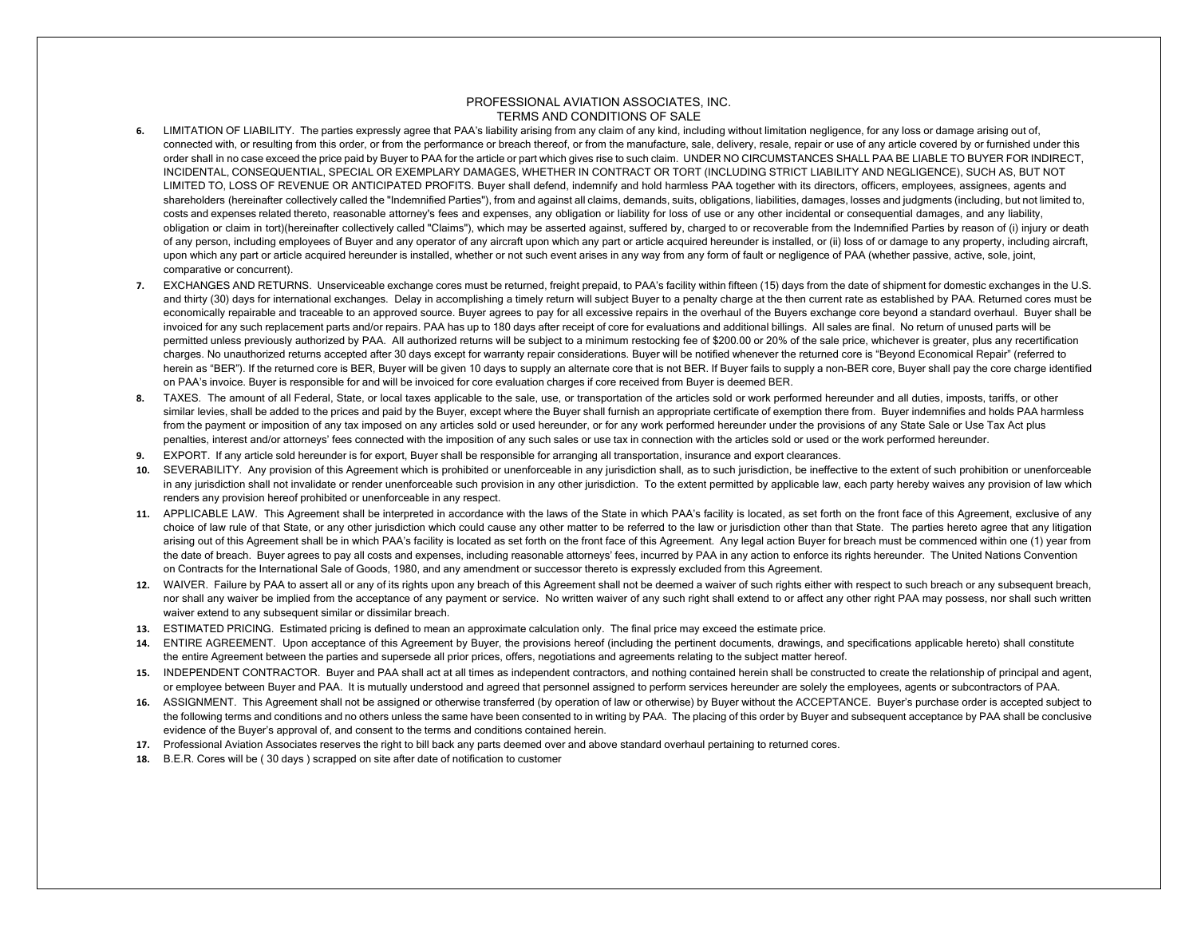## PROFESSIONAL AVIATION ASSOCIATES, INC. TERMS AND CONDITIONS OF SALE

- **6.** LIMITATION OF LIABILITY. The parties expressly agree that PAA's liability arising from any claim of any kind, including without limitation negligence, for any loss or damage arising out of, connected with, or resulting from this order, or from the performance or breach thereof, or from the manufacture, sale, delivery, resale, repair or use of any article covered by or furnished under this<br>calculations are a s order shall in no case exceed the price paid by Buyer to PAA for the article or part which gives rise to such claim. UNDER NO CIRCUMSTANCES SHALL PAA BE LIABLE TO BUYER FOR INDIRECT,<br>when the article of the article of the INCIDENTAL, CONSEQUENTIAL, SPECIAL OR EXEMPLARY DAMAGES, WHETHER IN CONTRACT OR TORT (INCLUDING STRICT LIABILITY AND NEGLIGENCE), SUCH AS, BUT NOT LIMITED TO, LOSS OF REVENUE OR ANTICIPATED PROFITS. Buyer shall defend, indemnify and hold harmless PAA together with its directors, officers, employees, assignees, agents and shareholders (hereinafter collectively called the "Indemnified Parties"), from and against all claims, demands, suits, obligations, liabilities, damages, losses and judgments (including, but not limited to, costs and expenses related thereto, reasonable attorney's fees and expenses, any obligation or liability for loss of use or any other incidental or consequential damages, and any liability, obligation or claim in tort)(hereinafter collectively called "Claims"), which may be asserted against, suffered by, charged to or recoverable from the Indemnified Parties by reason of (i) injury or death<br>- A second a secon of any person, including employees of Buyer and any operator of any aircraft upon which any part or article acquired hereunder is installed, or (ii) loss of or damage to any property, including aircraft, upon which any part or article acquired hereunder is installed, whether or not such event arises in any way from any form of fault or negligence of PAA (whether passive, active, sole, joint, comparative or concurrent).
- 7. **EXCHANGES AND RETURNS.** Unserviceable exchange cores must be returned, freight prepaid, to PAA's facility within fifteen (15) days from the date of shipment for domestic exchanges in the U.S. and thirty (30) days for international exchanges. Delay in accomplishing a timely return will subject Buyer to a penalty charge at the then current rate as established by PAA. Returned cores must be economically repairable and traceable to an approved source. Buyer agrees to pay for all excessive repairs in the overhaul of the Buyers exchange core beyond a standard overhaul. Buyer shall be invoiced for any such replacement parts and/or repairs. PAA has up to 180 days after receipt of core for evaluations and additional billings. All sales are final. No return of unused parts will be permitted unless previously authorized by PAA. All authorized returns will be subject to a minimum restocking fee of \$200.00 or 20% of the sale price, whichever is greater, plus any recertification charges. No unauthorized returns accepted after 30 days except for warranty repair considerations. Buyer will be notified whenever the returned core is "Beyond Economical Repair" (referred to herein as "BER"). If the returned core is BER, Buyer will be given 10 days to supply an alternate core that is not BER. If Buyer fails to supply a non-BER core, Buyer shall pay the core charge identified on PAA's invoice. Buyer is responsible for and will be invoiced for core evaluation charges if core received from Buyer is deemed BER.
- **8.** TAXES. The amount of all Federal, State, or local taxes applicable to the sale, use, or transportation of the articles sold or work performed hereunder and all duties, imposts, tariffs, or other similar levies, shall be added to the prices and paid by the Buyer, except where the Buyer shall furnish an appropriate certificate of exemption there from. Buyer indemnifies and holds PAA harmless from the payment or imposition of any tax imposed on any articles sold or used hereunder, or for any work performed hereunder under the provisions of any State Sale or Use Tax Act plus penalties, interest and/or attorneys' fees connected with the imposition of any such sales or use tax in connection with the articles sold or used or the work performed hereunder.
- **9.** EXPORT. If any article sold hereunder is for export, Buyer shall be responsible for arranging all transportation, insurance and export clearances.
- **10.** SEVERABILITY. Any provision of this Agreement which is prohibited or unenforceable in any jurisdiction shall, as to such jurisdiction, be ineffective to the extent of such prohibition or unenforceable in any jurisdiction shall not invalidate or render unenforceable such provision in any other jurisdiction. To the extent permitted by applicable law, each party hereby waives any provision of law which renders any provision hereof prohibited or unenforceable in any respect.
- **11.** APPLICABLE LAW. This Agreement shall be interpreted in accordance with the laws of the State in which PAA's facility is located, as set forth on the front face of this Agreement, exclusive of any choice of law rule of that State, or any other jurisdiction which could cause any other matter to be referred to the law or jurisdiction other than that State. The parties hereto agree that any litigation arising out of this Agreement shall be in which PAA's facility is located as set forth on the front face of this Agreement. Any legal action Buyer for breach must be commenced within one (1) year from the date of breach. Buyer agrees to pay all costs and expenses, including reasonable attorneys' fees, incurred by PAA in any action to enforce its rights hereunder. The United Nations Convention on Contracts for the International Sale of Goods, 1980, and any amendment or successor thereto is expressly excluded from this Agreement.
- **12.** WAIVER. Failure by PAA to assert all or any of its rights upon any breach of this Agreement shall not be deemed a waiver of such rights either with respect to such breach or any subsequent breach, nor shall any waiver be implied from the acceptance of any payment or service. No written waiver of any such right shall extend to or affect any other right PAA may possess, nor shall such written waiver extend to any subsequent similar or dissimilar breach.
- **13.** ESTIMATED PRICING. Estimated pricing is defined to mean an approximate calculation only. The final price may exceed the estimate price.
- **14.** ENTIRE AGREEMENT. Upon acceptance of this Agreement by Buyer, the provisions hereof (including the pertinent documents, drawings, and specifications applicable hereto) shall constitute the entire Agreement between the parties and supersede all prior prices, offers, negotiations and agreements relating to the subject matter hereof.
- **15.** INDEPENDENT CONTRACTOR. Buyer and PAA shall act at all times as independent contractors, and nothing contained herein shall be constructed to create the relationship of principal and agent, or employee between Buyer and PAA. It is mutually understood and agreed that personnel assigned to perform
- or employee between Buyer and PAA. It is mutually understood and agreed that personnel assigned to perform services hereunder are solely the employees, agents or subcontractors of PAA.<br>16. ASSIGNMENT. This Agreement shall the following terms and conditions and no others unless the same have been consented to in writing by PAA. The placing of this order by Buyer and subsequent acceptance by PAA shall be conclusive evidence of the Buyer's approval of, and consent to the terms and conditions contained herein.
- **17.** Professional Aviation Associates reserves the right to bill back any parts deemed over and above standard overhaul pertaining to returned cores.
- **18.** B.E.R. Cores will be ( 30 days ) scrapped on site after date of notification to customer